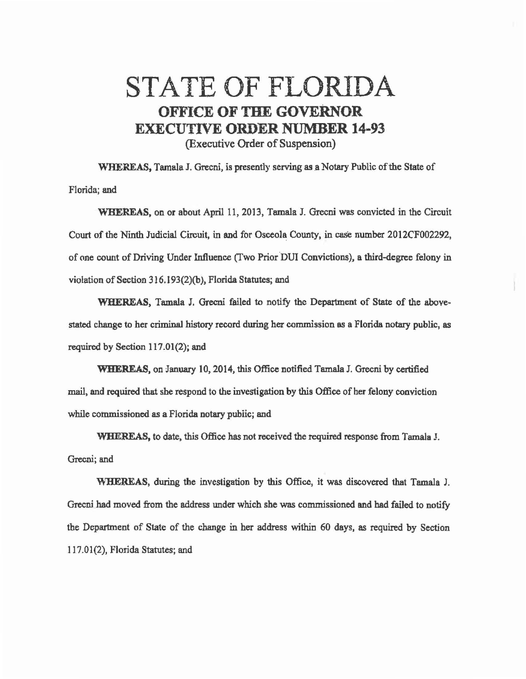## STATE OF FLORIDA OFFICE OF THE GOVERNOR EXECUTIVE ORDER NUMBER 14-93 (Executive Order of Suspension)

WHEREAS, Tamala J. Grecni, is presently serving as a Notary Public of the State of Florida; and

~11EREAS, on or about April 11, 2013, Tamala J. Grecni was convicted in the Circuit Court of the Ninth Judicial Circuit, in and for Osceola County, in case number 2012CF002292, of one count of Driving Under Influence (Two Prior DUI Convictions), a third-degree felony in violation of Section 316.193(2)(b), Florida Statutes; and

WHEREAS, Tamala J. Grecni failed to notify the Department of State of the abovestated change to her criminal history record during her commission as a Florida notary public, as required by Section 117.01(2); and

WHEREAS, on January 10, 2014, this Office notified Tamala J. Grecni by certified mail, and required that she respond to the investigation by this Office of her felony conviction while commissioned as a Florida notary public; and

WHEREAS, to date, this Office bas not received the required response from Tamala J. Grecni; and

'\\"HEREAS, during the investigation by this Office, it was discovered that Tamala J. Grecni had moved from the address under which she was commissioned and had failed to notify the Department of State of the change in her address within 60 days, as required by Section 117.01(2), Florida Statutes; and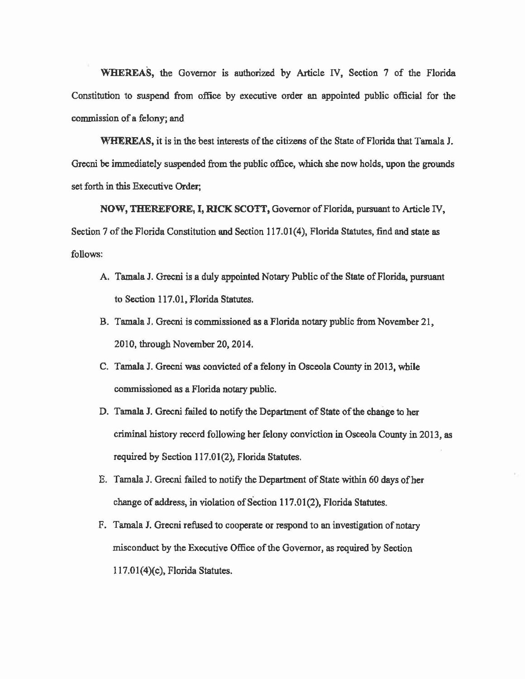WHEREAS, the Governor is authorized by Article IV, Section 7 of the Florida Constitution to suspend from office by executive order an appointed public official for the commission of a felony; and

WHEREAS, it is in the best interests of the citizens of the State of Florida that Tamala J. Grecni be immediately suspended from the public office, which she now holds, upon the grounds set forth in this Executive Order;

NOW, THEREFORE, I, RICK SCOTT, Governor of Florida, pursuant to Article IV, Section 7 of the Florida Constitution and Section 117.01(4), Florida Statutes, find and state as follows:

- A. Tamala J. Grecni is a duly appointed Notary Public of the State of Florida, pursuant to Section 117.01, Florida Statutes.
- B. Tamala J. Grecni is commissioned *as* a Florida notary public from November 21, 2010, through November 20, 2014.
- C. Tamala J. Grecni was convicted of a felony in Osceola County in 2013. while commissioned as a Florida notary public.
- D. Tamala J. Grecni failed to notify the Department of State of the change to her criminal history reccrd following her felony conviction in Osceola County in 2013, as required by Section 117.01(2), Florida Statutes.
- E. Tamala J. Grecni failed to notify the Department of State within 60 days of her change of address, in violation of Section 117.01(2), Florida Statutes.
- F. Tamala J. Grecni refused to cooperate or respond to an investigation of notary misconduct by the Executive Office of the Governor, as required by Section 117.01(4)(c), Florida Statutes.